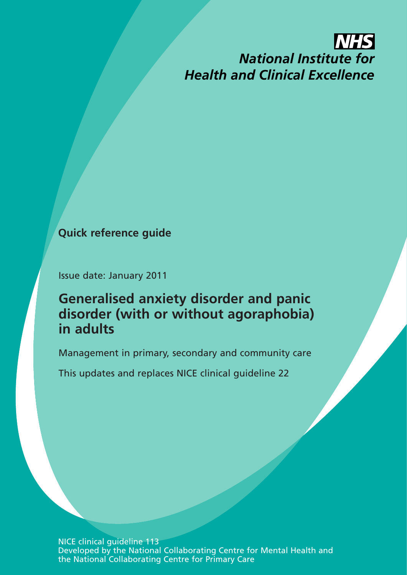# **INHS National Institute for Health and Clinical Excellence**

# **Quick reference guide**

Issue date: January 2011

# **Generalised anxiety disorder and panic disorder (with or without agoraphobia) in adults**

Management in primary, secondary and community care

This updates and replaces NICE clinical guideline 22

NICE clinical guideline 113 Developed by the National Collaborating Centre for Mental Health and the National Collaborating Centre for Primary Care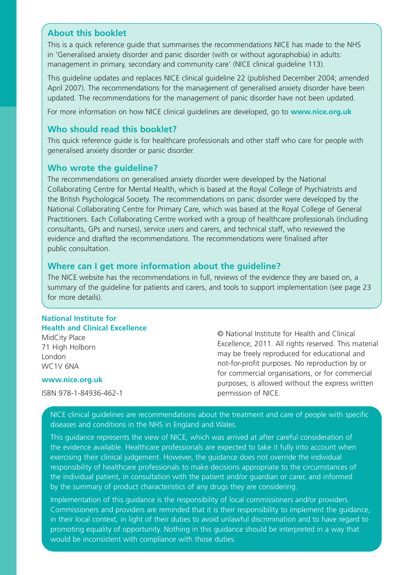### **About this booklet**

This is a quick reference guide that summarises the recommendations NICE has made to the NHS in 'Generalised anxiety disorder and panic disorder (with or without agoraphobia) in adults: management in primary, secondary and community care' (NICE clinical guideline 113).

This guideline updates and replaces NICE clinical guideline 22 (published December 2004; amended April 2007). The recommendations for the management of generalised anxiety disorder have been updated. The recommendations for the management of panic disorder have not been updated.

For more information on how NICE clinical guidelines are developed, go to **www.nice.org.uk**

### **Who should read this booklet?**

This quick reference guide is for healthcare professionals and other staff who care for people with generalised anxiety disorder or panic disorder.

### **Who wrote the guideline?**

The recommendations on generalised anxiety disorder were developed by the National Collaborating Centre for Mental Health, which is based at the Royal College of Psychiatrists and the British Psychological Society. The recommendations on panic disorder were developed by the National Collaborating Centre for Primary Care, which was based at the Royal College of General Practitioners. Each Collaborating Centre worked with a group of healthcare professionals (including consultants, GPs and nurses), service users and carers, and technical staff, who reviewed the evidence and drafted the recommendations. The recommendations were finalised after public consultation.

### **Where can I get more information about the guideline?**

The NICE website has the recommendations in full, reviews of the evidence they are based on, a summary of the guideline for patients and carers, and tools to support implementation (see page 23 for more details).

#### **National Institute for Health and Clinical Excellence**

MidCity Place 71 High Holborn London WC1V 6NA

#### **www.nice.org.uk**

ISBN 978-1-84936-462-1

© National Institute for Health and Clinical Excellence, 2011. All rights reserved. This material may be freely reproduced for educational and not-for-profit purposes. No reproduction by or for commercial organisations, or for commercial purposes, is allowed without the express written permission of NICE.

NICE clinical guidelines are recommendations about the treatment and care of people with specific diseases and conditions in the NHS in England and Wales.

This guidance represents the view of NICE, which was arrived at after careful consideration of the evidence available. Healthcare professionals are expected to take it fully into account when exercising their clinical judgement. However, the guidance does not override the individual responsibility of healthcare professionals to make decisions appropriate to the circumstances of the individual patient, in consultation with the patient and/or guardian or carer, and informed by the summary of product characteristics of any drugs they are considering.

Implementation of this guidance is the responsibility of local commissioners and/or providers. Commissioners and providers are reminded that it is their responsibility to implement the guidance, in their local context, in light of their duties to avoid unlawful discrimination and to have regard to promoting equality of opportunity. Nothing in this guidance should be interpreted in a way that would be inconsistent with compliance with those duties.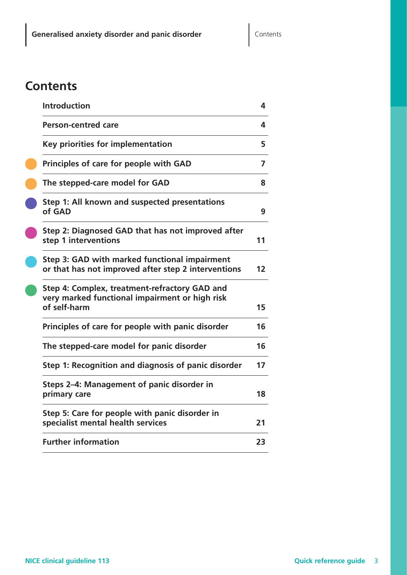# **Contents**

| <b>Introduction</b>                                                                                             | 4  |
|-----------------------------------------------------------------------------------------------------------------|----|
| <b>Person-centred care</b>                                                                                      | 4  |
| Key priorities for implementation                                                                               | 5  |
| Principles of care for people with GAD                                                                          | 7  |
| The stepped-care model for GAD                                                                                  | 8  |
| Step 1: All known and suspected presentations<br>of GAD                                                         | 9  |
| Step 2: Diagnosed GAD that has not improved after<br>step 1 interventions                                       | 11 |
| Step 3: GAD with marked functional impairment<br>or that has not improved after step 2 interventions            | 12 |
| Step 4: Complex, treatment-refractory GAD and<br>very marked functional impairment or high risk<br>of self-harm | 15 |
| Principles of care for people with panic disorder                                                               | 16 |
| The stepped-care model for panic disorder                                                                       | 16 |
| Step 1: Recognition and diagnosis of panic disorder                                                             | 17 |
| Steps 2-4: Management of panic disorder in<br>primary care                                                      | 18 |
| Step 5: Care for people with panic disorder in<br>specialist mental health services                             | 21 |
| <b>Further information</b>                                                                                      | 23 |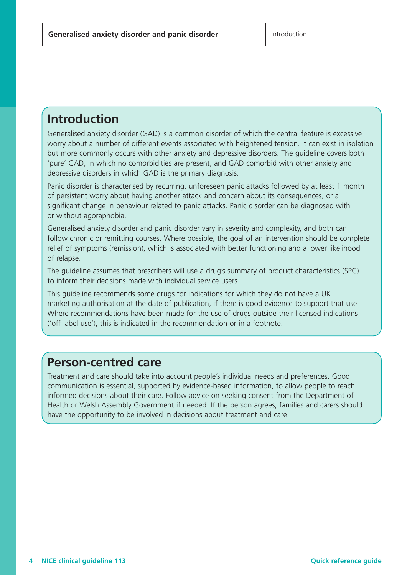# **Introduction**

Generalised anxiety disorder (GAD) is a common disorder of which the central feature is excessive worry about a number of different events associated with heightened tension. It can exist in isolation but more commonly occurs with other anxiety and depressive disorders. The guideline covers both 'pure' GAD, in which no comorbidities are present, and GAD comorbid with other anxiety and depressive disorders in which GAD is the primary diagnosis.

Panic disorder is characterised by recurring, unforeseen panic attacks followed by at least 1 month of persistent worry about having another attack and concern about its consequences, or a significant change in behaviour related to panic attacks. Panic disorder can be diagnosed with or without agoraphobia.

Generalised anxiety disorder and panic disorder vary in severity and complexity, and both can follow chronic or remitting courses. Where possible, the goal of an intervention should be complete relief of symptoms (remission), which is associated with better functioning and a lower likelihood of relapse.

The guideline assumes that prescribers will use a drug's summary of product characteristics (SPC) to inform their decisions made with individual service users.

This guideline recommends some drugs for indications for which they do not have a UK marketing authorisation at the date of publication, if there is good evidence to support that use. Where recommendations have been made for the use of drugs outside their licensed indications ('off-label use'), this is indicated in the recommendation or in a footnote.

# **Person-centred care**

Treatment and care should take into account people's individual needs and preferences. Good communication is essential, supported by evidence-based information, to allow people to reach informed decisions about their care. Follow advice on seeking consent from the Department of Health or Welsh Assembly Government if needed. If the person agrees, families and carers should have the opportunity to be involved in decisions about treatment and care.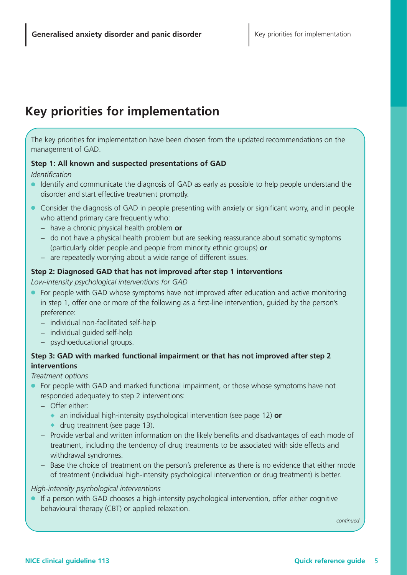# **Key priorities for implementation**

The key priorities for implementation have been chosen from the updated recommendations on the management of GAD.

#### **Step 1: All known and suspected presentations of GAD**

#### *Identification*

- Identify and communicate the diagnosis of GAD as early as possible to help people understand the disorder and start effective treatment promptly.
- Consider the diagnosis of GAD in people presenting with anxiety or significant worry, and in people who attend primary care frequently who:
	- − have a chronic physical health problem **or**
	- − do not have a physical health problem but are seeking reassurance about somatic symptoms (particularly older people and people from minority ethnic groups) **or**
	- − are repeatedly worrying about a wide range of different issues.

#### **Step 2: Diagnosed GAD that has not improved after step 1 interventions**

*Low-intensity psychological interventions for GAD*

- For people with GAD whose symptoms have not improved after education and active monitoring in step 1, offer one or more of the following as a first-line intervention, guided by the person's preference:
	- − individual non-facilitated self-help
	- − individual guided self-help
	- − psychoeducational groups.

### **Step 3: GAD with marked functional impairment or that has not improved after step 2 interventions**

#### *Treatment options*

- For people with GAD and marked functional impairment, or those whose symptoms have not responded adequately to step 2 interventions:
	- − Offer either:
		- ◆ an individual high-intensity psychological intervention (see page 12) **or**
		- ◆ drug treatment (see page 13).
	- − Provide verbal and written information on the likely benefits and disadvantages of each mode of treatment, including the tendency of drug treatments to be associated with side effects and withdrawal syndromes.
	- − Base the choice of treatment on the person's preference as there is no evidence that either mode of treatment (individual high-intensity psychological intervention or drug treatment) is better.

#### *High-intensity psychological interventions*

If a person with GAD chooses a high-intensity psychological intervention, offer either cognitive behavioural therapy (CBT) or applied relaxation.

*continued*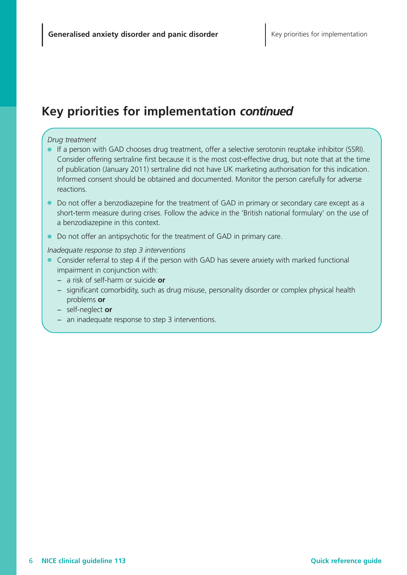# **Key priorities for implementation** *continued*

#### *Drug treatment*

- If a person with GAD chooses drug treatment, offer a selective serotonin reuptake inhibitor (SSRI). Consider offering sertraline first because it is the most cost-effective drug, but note that at the time of publication (January 2011) sertraline did not have UK marketing authorisation for this indication. Informed consent should be obtained and documented. Monitor the person carefully for adverse reactions.
- Do not offer a benzodiazepine for the treatment of GAD in primary or secondary care except as a short-term measure during crises. Follow the advice in the 'British national formulary' on the use of a benzodiazepine in this context.
- Do not offer an antipsychotic for the treatment of GAD in primary care.

#### *Inadequate response to step 3 interventions*

- Consider referral to step 4 if the person with GAD has severe anxiety with marked functional impairment in conjunction with:
	- − a risk of self-harm or suicide **or**
	- − significant comorbidity, such as drug misuse, personality disorder or complex physical health problems **or**
	- − self-neglect **or**
	- − an inadequate response to step 3 interventions.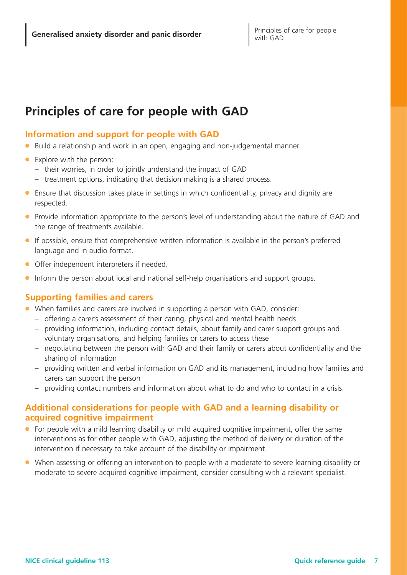# **Principles of care for people with GAD**

### **Information and support for people with GAD**

- Build a relationship and work in an open, engaging and non-judgemental manner.
- Explore with the person:
	- their worries, in order to jointly understand the impact of GAD
	- treatment options, indicating that decision making is a shared process.
- Ensure that discussion takes place in settings in which confidentiality, privacy and dignity are respected.
- Provide information appropriate to the person's level of understanding about the nature of GAD and the range of treatments available.
- If possible, ensure that comprehensive written information is available in the person's preferred language and in audio format.
- Offer independent interpreters if needed.
- Inform the person about local and national self-help organisations and support groups.

### **Supporting families and carers**

- When families and carers are involved in supporting a person with GAD, consider:
	- offering a carer's assessment of their caring, physical and mental health needs
	- providing information, including contact details, about family and carer support groups and voluntary organisations, and helping families or carers to access these
	- negotiating between the person with GAD and their family or carers about confidentiality and the sharing of information
	- providing written and verbal information on GAD and its management, including how families and carers can support the person
	- providing contact numbers and information about what to do and who to contact in a crisis.

### **Additional considerations for people with GAD and a learning disability or acquired cognitive impairment**

- For people with a mild learning disability or mild acquired cognitive impairment, offer the same interventions as for other people with GAD, adjusting the method of delivery or duration of the intervention if necessary to take account of the disability or impairment.
- When assessing or offering an intervention to people with a moderate to severe learning disability or moderate to severe acquired cognitive impairment, consider consulting with a relevant specialist.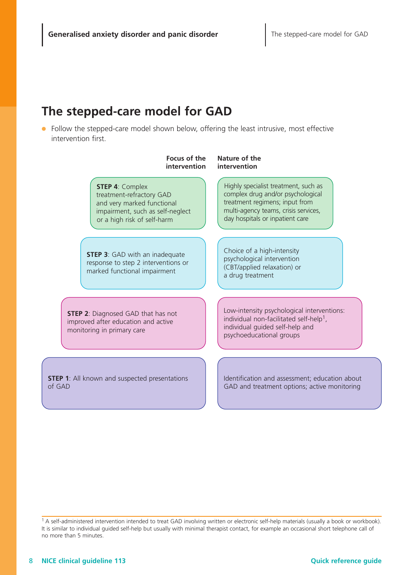# **The stepped-care model for GAD**

● Follow the stepped-care model shown below, offering the least intrusive, most effective intervention first.



<sup>&</sup>lt;sup>1</sup> A self-administered intervention intended to treat GAD involving written or electronic self-help materials (usually a book or workbook). It is similar to individual guided self-help but usually with minimal therapist contact, for example an occasional short telephone call of no more than 5 minutes.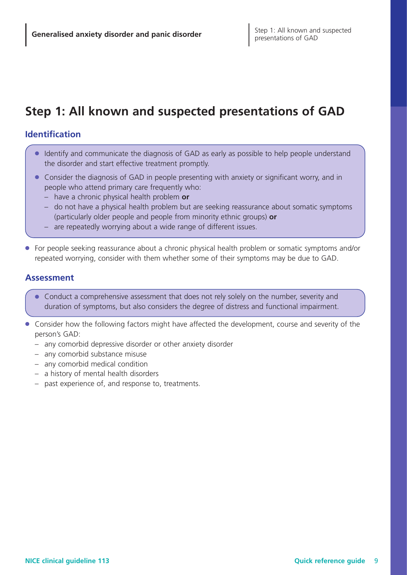# **Step 1: All known and suspected presentations of GAD**

### **Identification**

- Identify and communicate the diagnosis of GAD as early as possible to help people understand the disorder and start effective treatment promptly.
- Consider the diagnosis of GAD in people presenting with anxiety or significant worry, and in people who attend primary care frequently who:
	- have a chronic physical health problem **or**
	- do not have a physical health problem but are seeking reassurance about somatic symptoms (particularly older people and people from minority ethnic groups) **or**
	- are repeatedly worrying about a wide range of different issues.
- For people seeking reassurance about a chronic physical health problem or somatic symptoms and/or repeated worrying, consider with them whether some of their symptoms may be due to GAD.

### **Assessment**

- Conduct a comprehensive assessment that does not rely solely on the number, severity and duration of symptoms, but also considers the degree of distress and functional impairment.
- Consider how the following factors might have affected the development, course and severity of the person's GAD:
	- any comorbid depressive disorder or other anxiety disorder
	- any comorbid substance misuse
	- any comorbid medical condition
	- a history of mental health disorders
	- past experience of, and response to, treatments.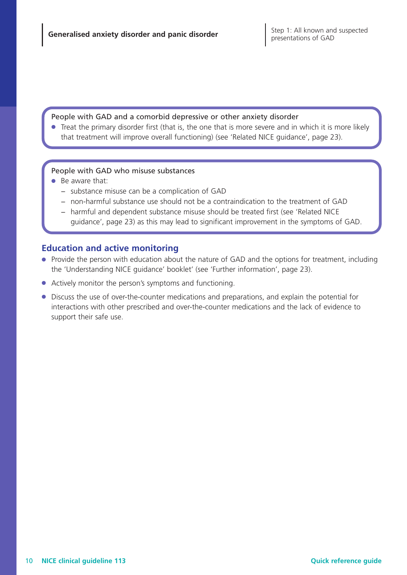#### People with GAD and a comorbid depressive or other anxiety disorder

● Treat the primary disorder first (that is, the one that is more severe and in which it is more likely that treatment will improve overall functioning) (see 'Related NICE guidance', page 23).

#### People with GAD who misuse substances

- Be aware that:
	- − substance misuse can be a complication of GAD
	- − non-harmful substance use should not be a contraindication to the treatment of GAD
	- − harmful and dependent substance misuse should be treated first (see 'Related NICE guidance', page 23) as this may lead to significant improvement in the symptoms of GAD.

### **Education and active monitoring**

- Provide the person with education about the nature of GAD and the options for treatment, including the 'Understanding NICE guidance' booklet' (see 'Further information', page 23).
- Actively monitor the person's symptoms and functioning.
- Discuss the use of over-the-counter medications and preparations, and explain the potential for interactions with other prescribed and over-the-counter medications and the lack of evidence to support their safe use.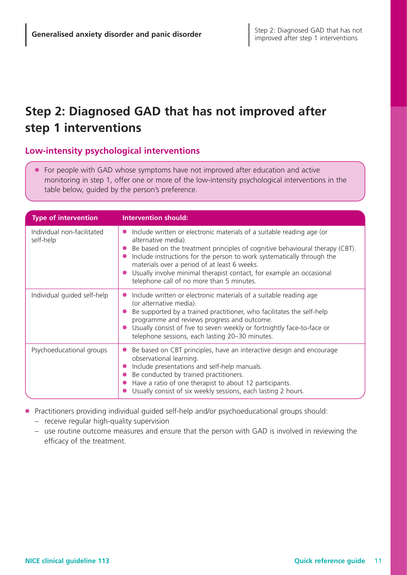# **Step 2: Diagnosed GAD that has not improved after step 1 interventions**

### **Low-intensity psychological interventions**

● For people with GAD whose symptoms have not improved after education and active monitoring in step 1, offer one or more of the low-intensity psychological interventions in the table below, guided by the person's preference.

| <b>Type of intervention</b>             | <b>Intervention should:</b>                                                                                                                                                                                                                                                                                                                                                                                                 |
|-----------------------------------------|-----------------------------------------------------------------------------------------------------------------------------------------------------------------------------------------------------------------------------------------------------------------------------------------------------------------------------------------------------------------------------------------------------------------------------|
| Individual non-facilitated<br>self-help | Include written or electronic materials of a suitable reading age (or<br>alternative media).<br>Be based on the treatment principles of cognitive behavioural therapy (CBT).<br>Include instructions for the person to work systematically through the<br>materials over a period of at least 6 weeks.<br>Usually involve minimal therapist contact, for example an occasional<br>telephone call of no more than 5 minutes. |
| Individual guided self-help             | Include written or electronic materials of a suitable reading age<br>(or alternative media).<br>Be supported by a trained practitioner, who facilitates the self-help<br>programme and reviews progress and outcome.<br>Usually consist of five to seven weekly or fortnightly face-to-face or<br>telephone sessions, each lasting 20-30 minutes.                                                                           |
| Psychoeducational groups                | Be based on CBT principles, have an interactive design and encourage<br>observational learning.<br>Include presentations and self-help manuals.<br>Be conducted by trained practitioners.<br>Have a ratio of one therapist to about 12 participants.<br>Usually consist of six weekly sessions, each lasting 2 hours.                                                                                                       |

- Practitioners providing individual guided self-help and/or psychoeducational groups should:
	- receive regular high-quality supervision
	- use routine outcome measures and ensure that the person with GAD is involved in reviewing the efficacy of the treatment.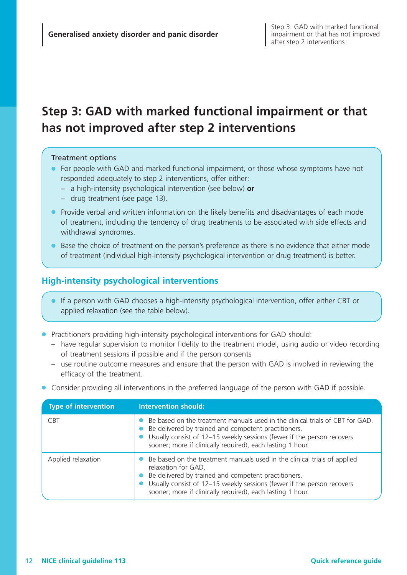# **Step 3: GAD with marked functional impairment or that has not improved after step 2 interventions**

#### Treatment options

- For people with GAD and marked functional impairment, or those whose symptoms have not responded adequately to step 2 interventions, offer either:
	- − a high-intensity psychological intervention (see below) **or**
	- − drug treatment (see page 13).
- Provide verbal and written information on the likely benefits and disadvantages of each mode of treatment, including the tendency of drug treatments to be associated with side effects and withdrawal syndromes.
- Base the choice of treatment on the person's preference as there is no evidence that either mode of treatment (individual high-intensity psychological intervention or drug treatment) is better.

### **High-intensity psychological interventions**

- If a person with GAD chooses a high-intensity psychological intervention, offer either CBT or applied relaxation (see the table below).
- Practitioners providing high-intensity psychological interventions for GAD should:
	- have regular supervision to monitor fidelity to the treatment model, using audio or video recording of treatment sessions if possible and if the person consents
	- use routine outcome measures and ensure that the person with GAD is involved in reviewing the efficacy of the treatment.
- Consider providing all interventions in the preferred language of the person with GAD if possible.

| <b>Type of intervention</b> | <b>Intervention should:</b>                                                                                                                                                                                                                                                                       |
|-----------------------------|---------------------------------------------------------------------------------------------------------------------------------------------------------------------------------------------------------------------------------------------------------------------------------------------------|
| <b>CBT</b>                  | • Be based on the treatment manuals used in the clinical trials of CBT for GAD.<br>• Be delivered by trained and competent practitioners.<br>Usually consist of 12-15 weekly sessions (fewer if the person recovers<br>sooner; more if clinically required), each lasting 1 hour.                 |
| Applied relaxation          | • Be based on the treatment manuals used in the clinical trials of applied<br>relaxation for GAD.<br>Be delivered by trained and competent practitioners.<br>Usually consist of 12-15 weekly sessions (fewer if the person recovers<br>sooner; more if clinically required), each lasting 1 hour. |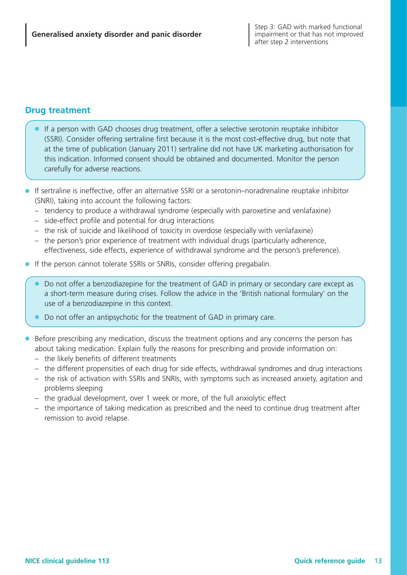### **Drug treatment**

- If a person with GAD chooses drug treatment, offer a selective serotonin reuptake inhibitor (SSRI). Consider offering sertraline first because it is the most cost-effective drug, but note that at the time of publication (January 2011) sertraline did not have UK marketing authorisation for this indication. Informed consent should be obtained and documented. Monitor the person carefully for adverse reactions.
- If sertraline is ineffective, offer an alternative SSRI or a serotonin–noradrenaline reuptake inhibitor (SNRI), taking into account the following factors:
	- tendency to produce a withdrawal syndrome (especially with paroxetine and venlafaxine)
	- side-effect profile and potential for drug interactions
	- the risk of suicide and likelihood of toxicity in overdose (especially with venlafaxine)
	- the person's prior experience of treatment with individual drugs (particularly adherence, effectiveness, side effects, experience of withdrawal syndrome and the person's preference).
- If the person cannot tolerate SSRIs or SNRIs, consider offering pregabalin.
	- Do not offer a benzodiazepine for the treatment of GAD in primary or secondary care except as a short-term measure during crises. Follow the advice in the 'British national formulary' on the use of a benzodiazepine in this context.
	- Do not offer an antipsychotic for the treatment of GAD in primary care.
- Before prescribing any medication, discuss the treatment options and any concerns the person has about taking medication. Explain fully the reasons for prescribing and provide information on:
	- the likely benefits of different treatments
	- the different propensities of each drug for side effects, withdrawal syndromes and drug interactions
	- the risk of activation with SSRIs and SNRIs, with symptoms such as increased anxiety, agitation and problems sleeping
	- the gradual development, over 1 week or more, of the full anxiolytic effect
	- the importance of taking medication as prescribed and the need to continue drug treatment after remission to avoid relapse.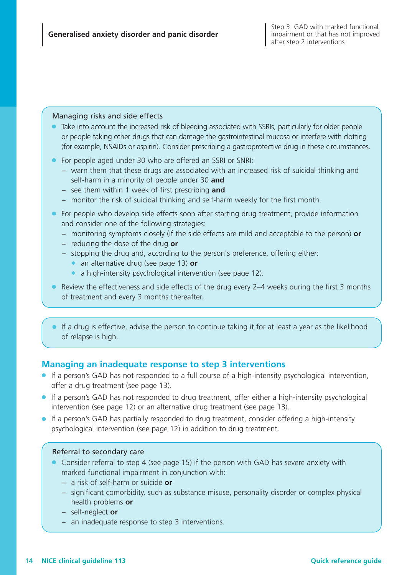#### Managing risks and side effects

- Take into account the increased risk of bleeding associated with SSRIs, particularly for older people or people taking other drugs that can damage the gastrointestinal mucosa or interfere with clotting (for example, NSAIDs or aspirin). Consider prescribing a gastroprotective drug in these circumstances.
- For people aged under 30 who are offered an SSRI or SNRI:
	- − warn them that these drugs are associated with an increased risk of suicidal thinking and self-harm in a minority of people under 30 **and**
	- − see them within 1 week of first prescribing **and**
	- − monitor the risk of suicidal thinking and self-harm weekly for the first month.
- For people who develop side effects soon after starting drug treatment, provide information and consider one of the following strategies:
	- − monitoring symptoms closely (if the side effects are mild and acceptable to the person) **or**
	- − reducing the dose of the drug **or**
	- − stopping the drug and, according to the person's preference, offering either:
		- an alternative drug (see page 13) or
		- a high-intensity psychological intervention (see page 12).
- Review the effectiveness and side effects of the drug every 2–4 weeks during the first 3 months of treatment and every 3 months thereafter.
- If a drug is effective, advise the person to continue taking it for at least a year as the likelihood of relapse is high.

### **Managing an inadequate response to step 3 interventions**

- If a person's GAD has not responded to a full course of a high-intensity psychological intervention, offer a drug treatment (see page 13).
- If a person's GAD has not responded to drug treatment, offer either a high-intensity psychological intervention (see page 12) or an alternative drug treatment (see page 13).
- If a person's GAD has partially responded to drug treatment, consider offering a high-intensity psychological intervention (see page 12) in addition to drug treatment.

#### Referral to secondary care

- Consider referral to step 4 (see page 15) if the person with GAD has severe anxiety with marked functional impairment in conjunction with:
	- − a risk of self-harm or suicide **or**
	- − significant comorbidity, such as substance misuse, personality disorder or complex physical health problems **or**
	- − self-neglect **or**
	- − an inadequate response to step 3 interventions.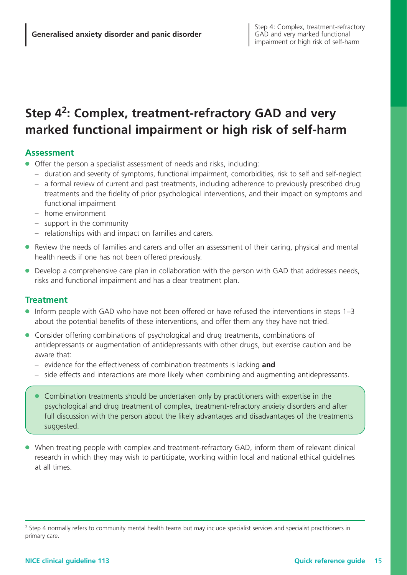# **Step 4 2 : Complex, treatment-refractory GAD and very marked functional impairment or high risk of self-harm**

### **Assessment**

- Offer the person a specialist assessment of needs and risks, including:
	- duration and severity of symptoms, functional impairment, comorbidities, risk to self and self-neglect
	- a formal review of current and past treatments, including adherence to previously prescribed drug treatments and the fidelity of prior psychological interventions, and their impact on symptoms and functional impairment
	- home environment
	- support in the community
	- relationships with and impact on families and carers.
- Review the needs of families and carers and offer an assessment of their caring, physical and mental health needs if one has not been offered previously.
- Develop a comprehensive care plan in collaboration with the person with GAD that addresses needs, risks and functional impairment and has a clear treatment plan.

### **Treatment**

- Inform people with GAD who have not been offered or have refused the interventions in steps 1–3 about the potential benefits of these interventions, and offer them any they have not tried.
- Consider offering combinations of psychological and drug treatments, combinations of antidepressants or augmentation of antidepressants with other drugs, but exercise caution and be aware that:
	- evidence for the effectiveness of combination treatments is lacking **and**
	- side effects and interactions are more likely when combining and augmenting antidepressants.
	- Combination treatments should be undertaken only by practitioners with expertise in the psychological and drug treatment of complex, treatment-refractory anxiety disorders and after full discussion with the person about the likely advantages and disadvantages of the treatments suggested.
- When treating people with complex and treatment-refractory GAD, inform them of relevant clinical research in which they may wish to participate, working within local and national ethical guidelines at all times.

<sup>&</sup>lt;sup>2</sup> Step 4 normally refers to community mental health teams but may include specialist services and specialist practitioners in primary care.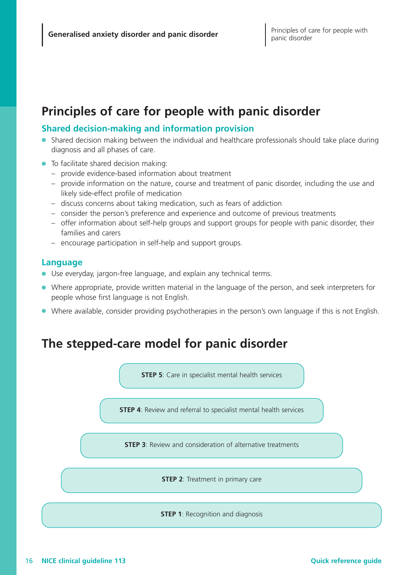# **Principles of care for people with panic disorder**

### **Shared decision-making and information provision**

- Shared decision making between the individual and healthcare professionals should take place during diagnosis and all phases of care.
- To facilitate shared decision making:
	- provide evidence-based information about treatment
	- provide information on the nature, course and treatment of panic disorder, including the use and likely side-effect profile of medication
	- discuss concerns about taking medication, such as fears of addiction
	- consider the person's preference and experience and outcome of previous treatments
	- offer information about self-help groups and support groups for people with panic disorder, their families and carers
	- encourage participation in self-help and support groups.

#### **Language**

- Use everyday, jargon-free language, and explain any technical terms.
- Where appropriate, provide written material in the language of the person, and seek interpreters for people whose first language is not English.
- Where available, consider providing psychotherapies in the person's own language if this is not English.

# **The stepped-care model for panic disorder**

**STEP 5**: Care in specialist mental health services

**STEP 4:** Review and referral to specialist mental health services

**STEP 3**: Review and consideration of alternative treatments

**STEP 2**: Treatment in primary care

**STEP 1**: Recognition and diagnosis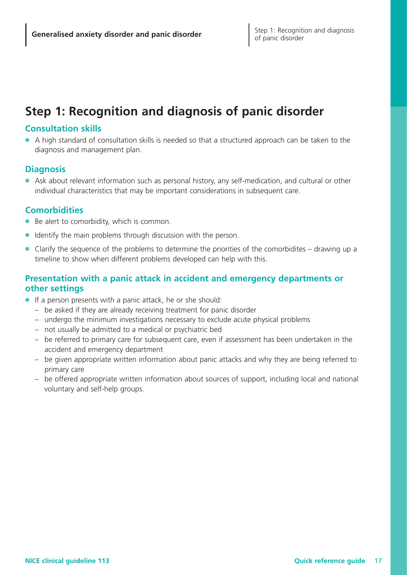# **Step 1: Recognition and diagnosis of panic disorder**

### **Consultation skills**

● A high standard of consultation skills is needed so that a structured approach can be taken to the diagnosis and management plan.

### **Diagnosis**

● Ask about relevant information such as personal history, any self-medication, and cultural or other individual characteristics that may be important considerations in subsequent care.

# **Comorbidities**

- Be alert to comorbidity, which is common.
- Identify the main problems through discussion with the person.
- Clarify the sequence of the problems to determine the priorities of the comorbidites drawing up a timeline to show when different problems developed can help with this.

# **Presentation with a panic attack in accident and emergency departments or other settings**

- If a person presents with a panic attack, he or she should:
	- be asked if they are already receiving treatment for panic disorder
	- undergo the minimum investigations necessary to exclude acute physical problems
	- not usually be admitted to a medical or psychiatric bed
	- be referred to primary care for subsequent care, even if assessment has been undertaken in the accident and emergency department
	- be given appropriate written information about panic attacks and why they are being referred to primary care
	- be offered appropriate written information about sources of support, including local and national voluntary and self-help groups.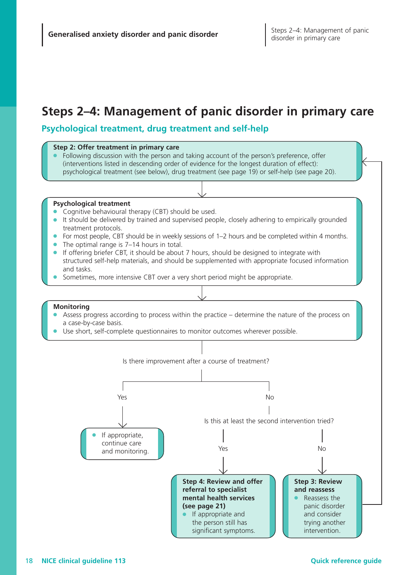# **Steps 2–4: Management of panic disorder in primary care**

### **Psychological treatment, drug treatment and self-help**

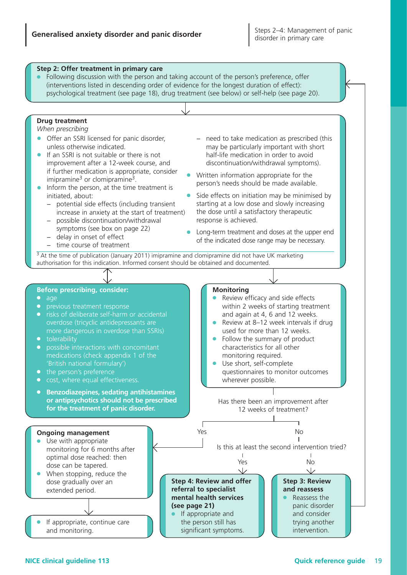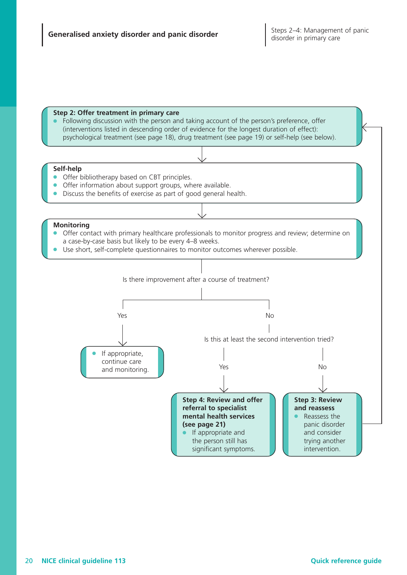#### **Step 2: Offer treatment in primary care**

Following discussion with the person and taking account of the person's preference, offer (interventions listed in descending order of evidence for the longest duration of effect): psychological treatment (see page 18), drug treatment (see page 19) or self-help (see below).

#### **Self-help**

- Offer bibliotherapy based on CBT principles.
- Offer information about support groups, where available.
- Discuss the benefits of exercise as part of good general health.

#### **Monitoring**

- Offer contact with primary healthcare professionals to monitor progress and review; determine on a case-by-case basis but likely to be every 4–8 weeks.
- Use short, self-complete questionnaires to monitor outcomes wherever possible.

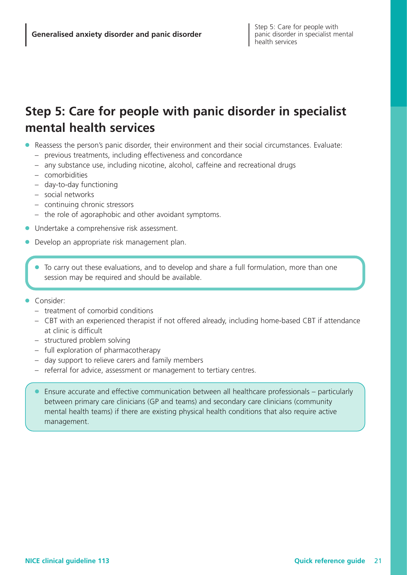# **Step 5: Care for people with panic disorder in specialist mental health services**

- Reassess the person's panic disorder, their environment and their social circumstances. Evaluate:
	- previous treatments, including effectiveness and concordance
	- any substance use, including nicotine, alcohol, caffeine and recreational drugs
	- comorbidities
	- day-to-day functioning
	- social networks
	- continuing chronic stressors
	- the role of agoraphobic and other avoidant symptoms.
- Undertake a comprehensive risk assessment.
- Develop an appropriate risk management plan.
	- To carry out these evaluations, and to develop and share a full formulation, more than one session may be required and should be available.
- Consider:
	- treatment of comorbid conditions
	- CBT with an experienced therapist if not offered already, including home-based CBT if attendance at clinic is difficult
	- structured problem solving
	- full exploration of pharmacotherapy
	- day support to relieve carers and family members
	- referral for advice, assessment or management to tertiary centres.
	- Ensure accurate and effective communication between all healthcare professionals particularly between primary care clinicians (GP and teams) and secondary care clinicians (community mental health teams) if there are existing physical health conditions that also require active management.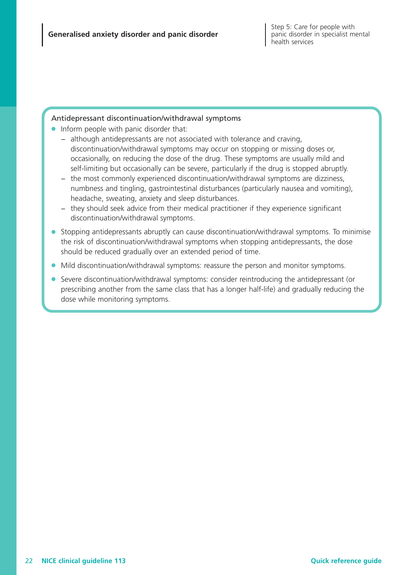#### Antidepressant discontinuation/withdrawal symptoms

- Inform people with panic disorder that:
	- − although antidepressants are not associated with tolerance and craving, discontinuation/withdrawal symptoms may occur on stopping or missing doses or, occasionally, on reducing the dose of the drug. These symptoms are usually mild and self-limiting but occasionally can be severe, particularly if the drug is stopped abruptly.
	- − the most commonly experienced discontinuation/withdrawal symptoms are dizziness, numbness and tingling, gastrointestinal disturbances (particularly nausea and vomiting), headache, sweating, anxiety and sleep disturbances.
	- − they should seek advice from their medical practitioner if they experience significant discontinuation/withdrawal symptoms.
- Stopping antidepressants abruptly can cause discontinuation/withdrawal symptoms. To minimise the risk of discontinuation/withdrawal symptoms when stopping antidepressants, the dose should be reduced gradually over an extended period of time.
- Mild discontinuation/withdrawal symptoms: reassure the person and monitor symptoms.
- Severe discontinuation/withdrawal symptoms: consider reintroducing the antidepressant (or prescribing another from the same class that has a longer half-life) and gradually reducing the dose while monitoring symptoms.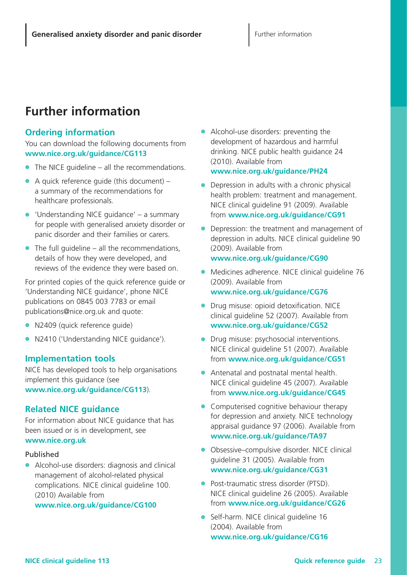# **Further information**

# **Ordering information**

You can download the following documents from **www.nice.org.uk/guidance/CG113**

- $\bullet$  The NICE guideline all the recommendations.
- $\bullet$  A quick reference guide (this document) a summary of the recommendations for healthcare professionals.
- $\bullet$  'Understanding NICE quidance' a summary for people with generalised anxiety disorder or panic disorder and their families or carers.
- $\bullet$  The full quideline all the recommendations, details of how they were developed, and reviews of the evidence they were based on.

For printed copies of the quick reference guide or 'Understanding NICE guidance', phone NICE publications on 0845 003 7783 or email publications@nice.org.uk and quote:

- N2409 (quick reference quide)
- N2410 ('Understanding NICE guidance').

# **Implementation tools**

NICE has developed tools to help organisations implement this guidance (see **www.nice.org.uk/guidance/CG113**).

# **Related NICE guidance**

For information about NICE guidance that has been issued or is in development, see **www.nice.org.uk**

# Published

● Alcohol-use disorders: diagnosis and clinical management of alcohol-related physical complications. NICE clinical guideline 100. (2010) Available from **www.nice.org.uk/guidance/CG100**

● Alcohol-use disorders: preventing the development of hazardous and harmful drinking. NICE public health guidance 24 (2010). Available from **www.nice.org.uk/guidance/PH24**

- Depression in adults with a chronic physical health problem: treatment and management. NICE clinical guideline 91 (2009). Available from **www.nice.org.uk/guidance/CG91**
- Depression: the treatment and management of depression in adults. NICE clinical guideline 90 (2009). Available from
	- **www.nice.org.uk/guidance/CG90**
- Medicines adherence. NICE clinical guideline 76 (2009). Available from **www.nice.org.uk/guidance/CG76**
- Drug misuse: opioid detoxification. NICE clinical guideline 52 (2007). Available from **www.nice.org.uk/guidance/CG52**
- Drug misuse: psychosocial interventions. NICE clinical guideline 51 (2007). Available from **www.nice.org.uk/guidance/CG51**
- Antenatal and postnatal mental health. NICE clinical guideline 45 (2007). Available from **www.nice.org.uk/guidance/CG45**
- Computerised cognitive behaviour therapy for depression and anxiety. NICE technology appraisal guidance 97 (2006). Available from **www.nice.org.uk/guidance/TA97**
- Obsessive–compulsive disorder. NICE clinical guideline 31 (2005). Available from **www.nice.org.uk/guidance/CG31**
- Post-traumatic stress disorder (PTSD). NICE clinical guideline 26 (2005). Available from **www.nice.org.uk/guidance/CG26**
- Self-harm. NICE clinical quideline 16 (2004). Available from **www.nice.org.uk/guidance/CG16**